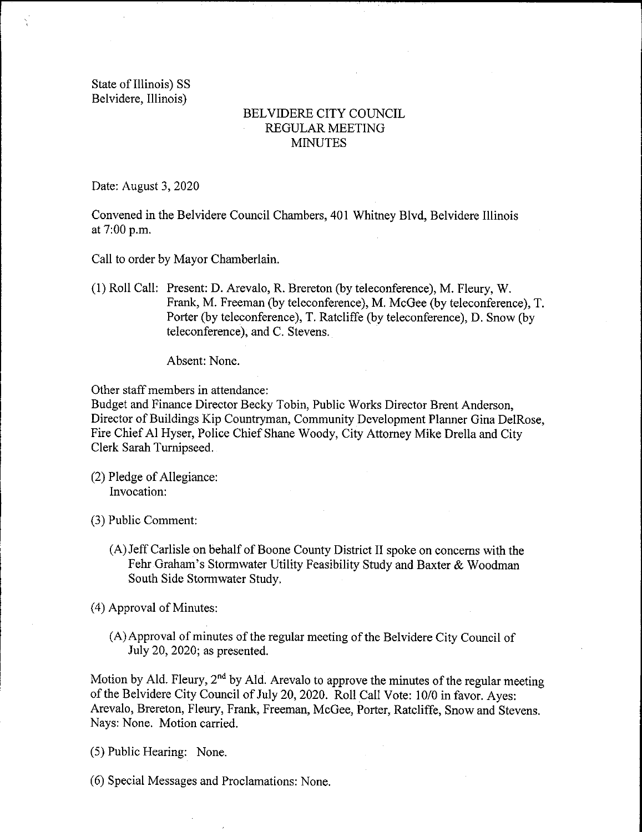State of Illinois) SS Belvidere, Illinois)

## BELVIDERE CITY COUNCIL REGULAR MEETING MINUTES

Date: August 3, 2020

Convened in the Belvidere Council Chambers, 401 Whitney Blvd, Belvidere Illinois at 7:00 p.m.

Call to order by Mayor Chamberlain.

1) Roll Call: Present: D. Arevalo, R. Brereton ( by teleconference), M. Fleury, W. Frank, M. Freeman (by teleconference), M. McGee (by teleconference), T. Porter (by teleconference), T. Ratcliffe (by teleconference), D. Snow (by teleconference), and C. Stevens.

Absent: None.

Other staff members in attendance:

Budget and Finance Director Becky Tobin, Public Works Director Brent Anderson, Director of Buildings Kip Countryman, Community Development Planner Gina DelRose, Fire Chief Al Hyser, Police Chief Shane Woody, City Attorney Mike Drella and City Clerk Sarah Turnipseed.

- $(2)$  Pledge of Allegiance: Invocation:
- 3) Public Comment:
	- A) Jeff Carlisle on behalf of Boone County District II spoke on concerns with the Fehr Graham's Stormwater Utility Feasibility Study and Baxter & Woodman South Side Stormwater Study.

4) Approval of Minutes:

A)Approval of minutes of the regular meeting of the Belvidere City Council of July 20, 2020; as presented.

Motion by Ald. Fleury,  $2<sup>nd</sup>$  by Ald. Arevalo to approve the minutes of the regular meeting of the Belvidere City Council of July 20, 2020. Roll Call Vote: 10/0 in favor. Ayes: Arevalo, Brereton, Fleury, Frank, Freeman, McGee, Porter, Ratcliffe, Snow and Stevens. Nays: None. Motion carried.

5) Public Hearing: None.

6) Special Messages and Proclamations: None.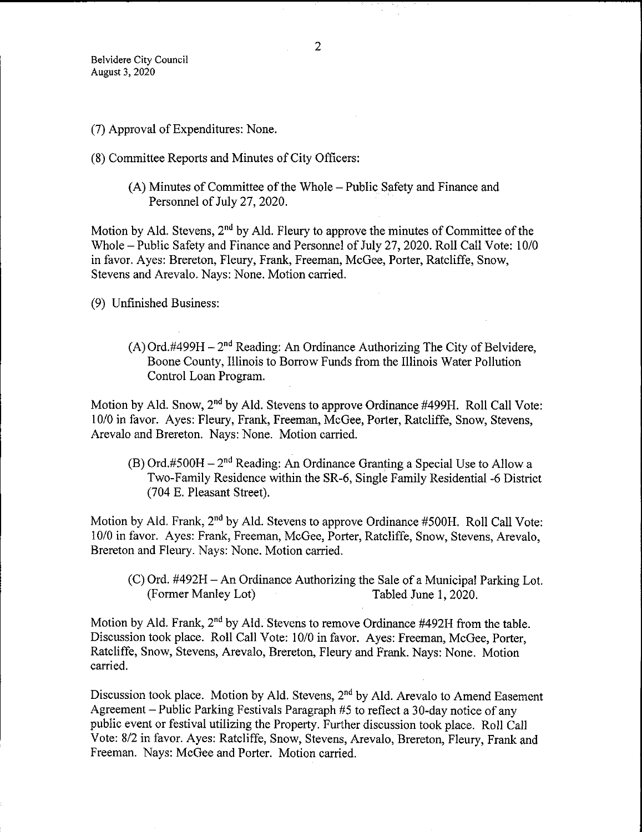- 7) Approval of Expenditures: None.
- 8) Committee Reports and Minutes of City Officers:
	- A) Minutes of Committee of the Whole— Public Safety and Finance and Personnel of July 27, 2020.

Motion by Ald. Stevens, 2<sup>nd</sup> by Ald. Fleury to approve the minutes of Committee of the Whole – Public Safety and Finance and Personnel of July 27, 2020. Roll Call Vote: 10/0 in favor. Ayes: Brereton, Fleury, Frank, Freeman, McGee, Porter, Ratcliffe, Snow, Stevens and Arevalo. Nays: None. Motion carried.

9) Unfinished Business:

 $(A)$  Ord.#499H –  $2<sup>nd</sup>$  Reading: An Ordinance Authorizing The City of Belvidere, Boone County, Illinois to Borrow Funds from the Illinois Water Pollution Control Loan Program.

Motion by Ald. Snow,  $2<sup>nd</sup>$  by Ald. Stevens to approve Ordinance #499H. Roll Call Vote: 10/0 in favor. Ayes: Fleury, Frank, Freeman, McGee, Porter, Ratcliffe, Snow, Stevens, Arevalo and Brereton. Nays: None. Motion carried.

 $(B)$  Ord.#500H –  $2<sup>nd</sup>$  Reading: An Ordinance Granting a Special Use to Allow a Two-Family Residence within the SR-6, Single Family Residential -6 District 704 E. Pleasant Street).

Motion by Ald. Frank, 2<sup>nd</sup> by Ald. Stevens to approve Ordinance #500H. Roll Call Vote: 10/0 in favor. Ayes: Frank, Freeman, McGee, Porter, Ratcliffe, Snow, Stevens, Arevalo, Brereton and Fleury. Nays: None. Motion carried.

C) Ord. #492H— An Ordinance Authorizing the Sale of <sup>a</sup> Municipal Parking Lot. Tabled June 1, 2020.

Motion by Ald. Frank,  $2<sup>nd</sup>$  by Ald. Stevens to remove Ordinance  $\#492H$  from the table. Discussion took place. Roll Call Vote: 10/0 in favor. Ayes: Freeman, McGee, Porter, Ratcliffe, Snow, Stevens, Arevalo, Brereton, Fleury and Frank. Nays: None. Motion carried.

Discussion took place. Motion by Ald. Stevens, 2<sup>nd</sup> by Ald. Arevalo to Amend Easement Agreement – Public Parking Festivals Paragraph  $#5$  to reflect a 30-day notice of any public event or festival utilizing the Property. Further discussion took place. Roll Call Vote: 8/2 in favor. Ayes: Ratcliffe, Snow, Stevens, Arevalo, Brereton, Fleury, Frank and Freeman. Nays: McGee and Porter. Motion carried.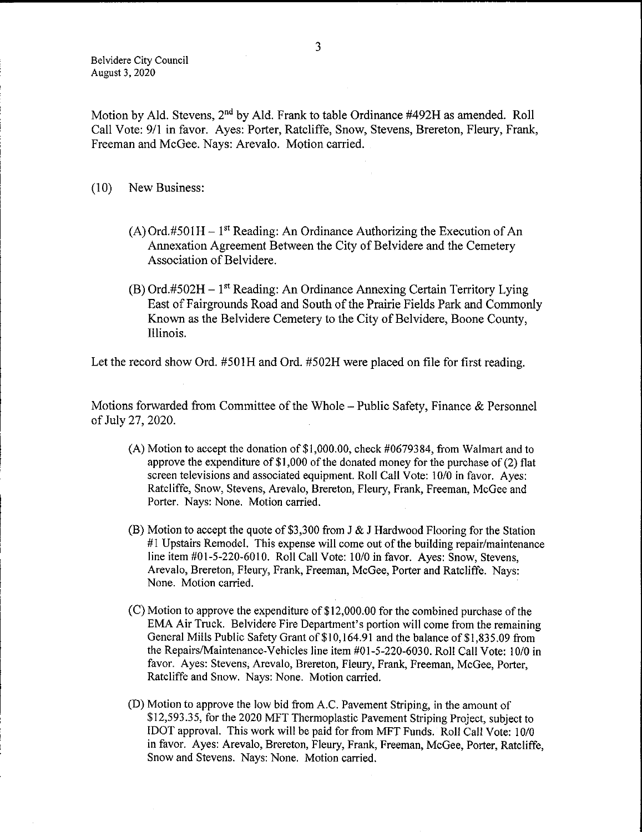Motion by Ald. Stevens, 2<sup>nd</sup> by Ald. Frank to table Ordinance #492H as amended. Roll Call Vote: 9/1 in favor. Ayes: Porter, Ratcliffe, Snow, Stevens, Brereton, Fleury, Frank, Freeman and McGee. Nays: Arevalo. Motion carried.

- 10) New Business:
	- $(A)$  Ord.#501H 1<sup>st</sup> Reading: An Ordinance Authorizing the Execution of An Annexation Agreement Between the City of Belvidere and the Cemetery Association of Belvidere.
	- $(B)$  Ord.#502H 1<sup>st</sup> Reading: An Ordinance Annexing Certain Territory Lying East of Fairgrounds Road and South of the Prairie Fields Park and Commonly Known as the Belvidere Cemetery to the City of Belvidere, Boone County, Illinois.

Let the record show Ord. #501H and Ord. #502H were placed on file for first reading.

Motions forwarded from Committee of the Whole – Public Safety, Finance & Personnel of July 27, 2020.

- $(A)$  Motion to accept the donation of \$1,000.00, check #0679384, from Walmart and to approve the expenditure of  $$1,000$  of the donated money for the purchase of (2) flat screen televisions and associated equipment. Roll Call Vote: 10/0 in favor. Ayes: Ratcliffe, Snow, Stevens, Arevalo, Brereton, Fleury, Frank, Freeman, McGee and Porter. Nays: None. Motion carried.
- (B) Motion to accept the quote of \$3,300 from J  $&$  J Hardwood Flooring for the Station <sup>1</sup> Upstairs Remodel. This expense will come out of the building repair/maintenance line item #01-5-220-6010. Roll Call Vote: 10/0 in favor. Ayes: Snow, Stevens, Arevalo, Brereton, Fleury, Frank, Freeman, McGee, Porter and Ratcliffe. Nays: None. Motion carried.
- $(C)$  Motion to approve the expenditure of \$12,000.00 for the combined purchase of the EMA Air Truck. Belvidere Fire Department's portion will come from the remaining General Mills Public Safety Grant of \$10,164.91 and the balance of \$1,835.09 from the Repairs/Maintenance-Vehicles line item #01-5-220-6030. Roll Call Vote: 10/0 in favor. Ayes: Stevens, Arevalo, Brereton, Fleury, Frank, Freeman, McGee, Porter, Ratcliffe and Snow. Nays: None. Motion carried.
- D) Motion to approve the low bid from A.C. Pavement Striping, in the amount of 12, 593. 35, for the 2020 MFT Thermoplastic Pavement Striping Project, subject to IDOT approval. This work will be paid for from MFT Funds. Roll Call Vote: 10/0 in favor. Ayes: Arevalo, Brereton, Fleury, Frank, Freeman, McGee, Porter, Ratcliffe, Snow and Stevens. Nays: None. Motion carried.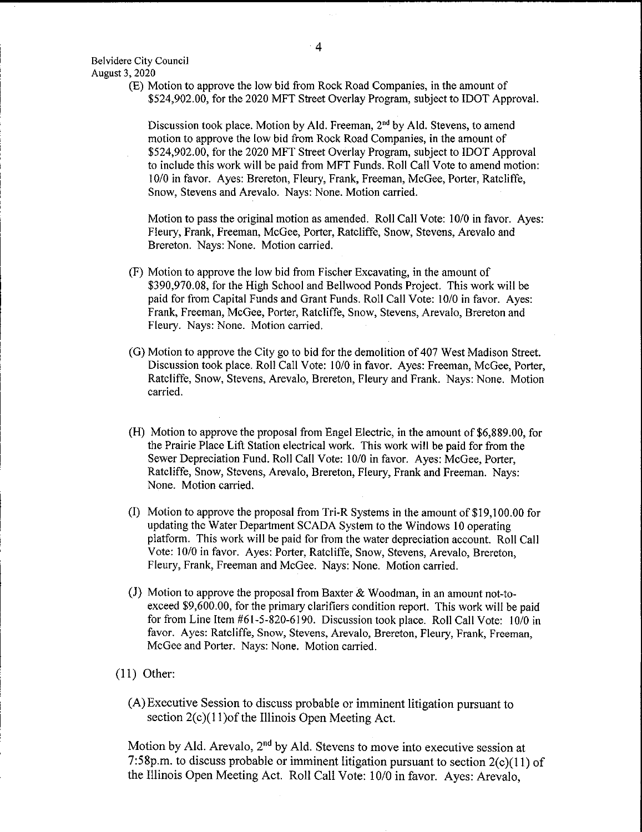E) Motion to approve the low bid from Rock Road Companies, in the amount of 524,902.00, for the 2020 MFT Street Overlay Program, subject to IDOT Approval.

Discussion took place. Motion by Ald. Freeman, 2<sup>nd</sup> by Ald. Stevens, to amend motion to approve the low bid from Rock Road Companies, in the amount of 524, 902. 00, for the 2020 MFT Street Overlay Program, subject to IDOT Approval to include this work will be paid from MFT Funds. Roll Call Vote to amend motion: 10/0 in favor. Ayes: Brereton, Fleury, Frank, Freeman, McGee, Porter, Ratcliffe, Snow, Stevens and Arevalo. Nays: None. Motion carried.

Motion to pass the original motion as amended. Roll Call Vote: 10/0 in favor. Ayes: Fleury, Frank, Freeman, McGee, Porter, Ratcliffe, Snow, Stevens, Arevalo and Brereton. Nays: None. Motion carried.

- F) Motion to approve the low bid from Fischer Excavating, in the amount of \$390, 970.08, for the High School and Bellwood Ponds Project. This work will be paid for from Capital Funds and Grant Funds. Roll Call Vote: 10/0 in favor. Ayes: Frank, Freeman, McGee, Porter, Ratcliffe, Snow, Stevens, Arevalo, Brereton and Fleury. Nays: None. Motion carried.
- G) Motion to approve the City go to bid for the demolition of 407 West Madison Street. Discussion took place. Roll Call Vote: 10/0 in favor. Ayes: Freeman, McGee, Porter, Ratcliffe, Snow, Stevens, Arevalo, Brereton, Fleury and Frank. Nays: None. Motion carried.
- (H) Motion to approve the proposal from Engel Electric, in the amount of \$6,889.00, for the Prairie Place Lift Station electrical work. This work will be paid for from the Sewer Depreciation Fund. Roll Call Vote: 10/0 in favor. Ayes: McGee, Porter, Ratcliffe, Snow, Stevens, Arevalo, Brereton, Fleury, Frank and Freeman. Nays: None. Motion carried.
- $1)$  Motion to approve the proposal from Tri-R Systems in the amount of \$19,100.00 for updating the Water Department SCADA System to the Windows 10 operating platform. This work will be paid for from the water depreciation account. Roll Call Vote: 10/0 in favor. Ayes: Porter, Ratcliffe, Snow, Stevens, Arevalo, Brereton, Fleury, Frank, Freeman and McGee. Nays: None. Motion carried.
- (J) Motion to approve the proposal from Baxter & Woodman, in an amount not-toexceed \$9,600.00, for the primary clarifiers condition report. This work will be paid for from Line Item # 61-5-820-6190. Discussion took place. Roll Call Vote: 10/0 in favor. Ayes: Ratcliffe, Snow, Stevens, Arevalo, Brereton, Fleury, Frank, Freeman, McGee and Porter. Nays: None. Motion carried.
- 11) Other:
	- A) Executive Session to discuss probable or imminent litigation pursuant to section  $2(c)(11)$  of the Illinois Open Meeting Act.

Motion by Ald. Arevalo, 2<sup>nd</sup> by Ald. Stevens to move into executive session at 7:58p.m. to discuss probable or imminent litigation pursuant to section  $2(c)(11)$  of the Illinois Open Meeting Act. Roll Call Vote: 10/0 in favor. Ayes: Arevalo,